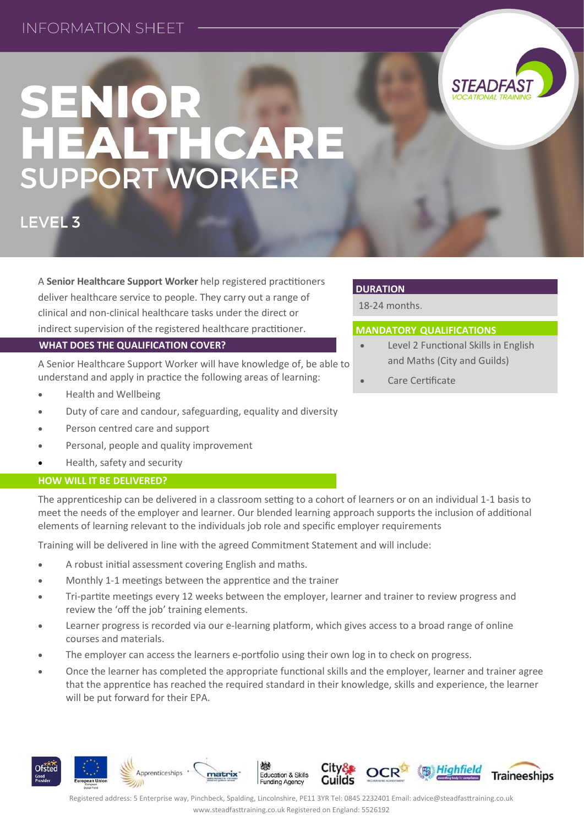## **INFORMATION SHEFT**



*STEADFAS* 

### LEVEL 3

A **Senior Healthcare Support Worker** help registered practitioners deliver healthcare service to people. They carry out a range of clinical and non-clinical healthcare tasks under the direct or indirect supervision of the registered healthcare practitioner. **WHAT DOES THE QUALIFICATION COVER?**

A Senior Healthcare Support Worker will have knowledge of, be able to understand and apply in practice the following areas of learning:

- Health and Wellbeing
- Duty of care and candour, safeguarding, equality and diversity
- Person centred care and support
- Personal, people and quality improvement
- Health, safety and security

### **HOW WILL IT BE DELIVERED?**

**Ofsted** 

The apprenticeship can be delivered in a classroom setting to a cohort of learners or on an individual 1-1 basis to meet the needs of the employer and learner. Our blended learning approach supports the inclusion of additional elements of learning relevant to the individuals job role and specific employer requirements

Training will be delivered in line with the agreed Commitment Statement and will include:

A robust initial assessment covering English and maths.

Apprenticeships

- Monthly 1-1 meetings between the apprentice and the trainer
- Tri-partite meetings every 12 weeks between the employer, learner and trainer to review progress and review the 'off the job' training elements.
- Learner progress is recorded via our e-learning platform, which gives access to a broad range of online courses and materials.
- The employer can access the learners e-portfolio using their own log in to check on progress.

matrix

 Once the learner has completed the appropriate functional skills and the employer, learner and trainer agree that the apprentice has reached the required standard in their knowledge, skills and experience, the learner will be put forward for their EPA.

# **DURATION**

18-24 months.

### **MANDATORY QUALIFICATIONS**

- Level 2 Functional Skills in English and Maths (City and Guilds)
- Care Certificate



**Education & Skills** 

**Funding Agency**